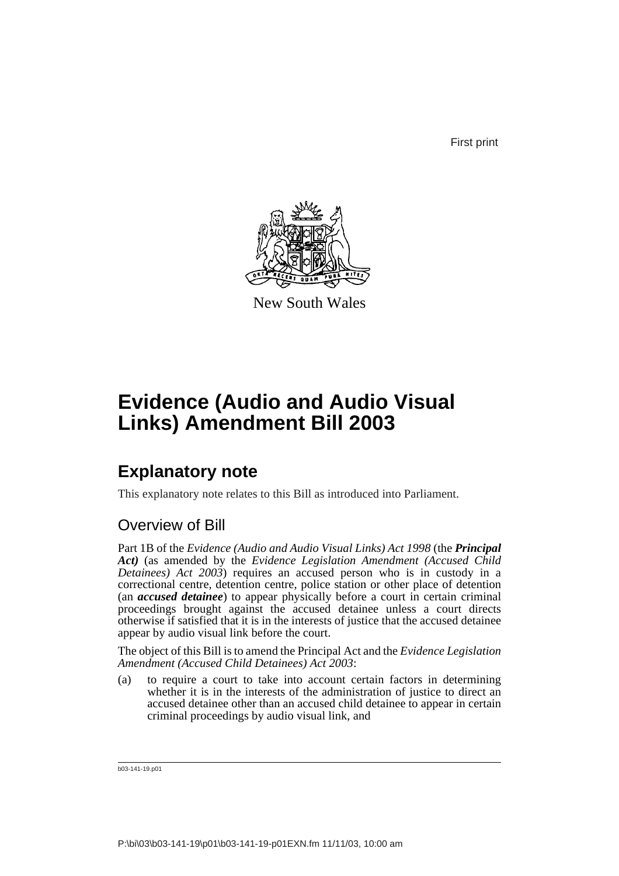First print



New South Wales

# **Evidence (Audio and Audio Visual Links) Amendment Bill 2003**

### **Explanatory note**

This explanatory note relates to this Bill as introduced into Parliament.

### Overview of Bill

Part 1B of the *Evidence (Audio and Audio Visual Links) Act 1998* (the *Principal Act)* (as amended by the *Evidence Legislation Amendment (Accused Child Detainees) Act 2003*) requires an accused person who is in custody in a correctional centre, detention centre, police station or other place of detention (an *accused detainee*) to appear physically before a court in certain criminal proceedings brought against the accused detainee unless a court directs otherwise if satisfied that it is in the interests of justice that the accused detainee appear by audio visual link before the court.

The object of this Bill is to amend the Principal Act and the *Evidence Legislation Amendment (Accused Child Detainees) Act 2003*:

(a) to require a court to take into account certain factors in determining whether it is in the interests of the administration of justice to direct an accused detainee other than an accused child detainee to appear in certain criminal proceedings by audio visual link, and

b03-141-19.p01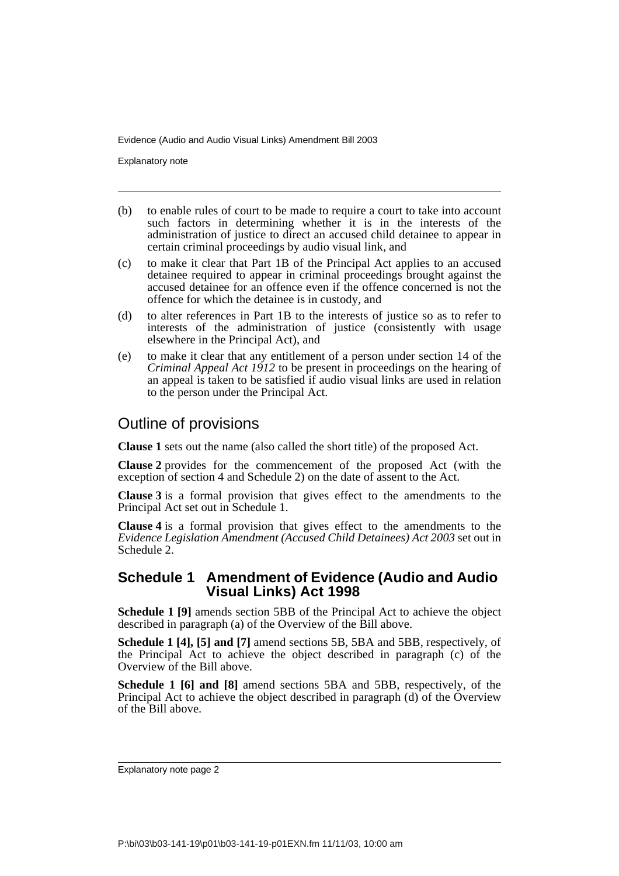Explanatory note

- (b) to enable rules of court to be made to require a court to take into account such factors in determining whether it is in the interests of the administration of justice to direct an accused child detainee to appear in certain criminal proceedings by audio visual link, and
- (c) to make it clear that Part 1B of the Principal Act applies to an accused detainee required to appear in criminal proceedings brought against the accused detainee for an offence even if the offence concerned is not the offence for which the detainee is in custody, and
- (d) to alter references in Part 1B to the interests of justice so as to refer to interests of the administration of justice (consistently with usage elsewhere in the Principal Act), and
- (e) to make it clear that any entitlement of a person under section 14 of the *Criminal Appeal Act 1912* to be present in proceedings on the hearing of an appeal is taken to be satisfied if audio visual links are used in relation to the person under the Principal Act.

#### Outline of provisions

**Clause 1** sets out the name (also called the short title) of the proposed Act.

**Clause 2** provides for the commencement of the proposed Act (with the exception of section 4 and Schedule 2) on the date of assent to the Act.

**Clause 3** is a formal provision that gives effect to the amendments to the Principal Act set out in Schedule 1.

**Clause 4** is a formal provision that gives effect to the amendments to the *Evidence Legislation Amendment (Accused Child Detainees) Act 2003* set out in Schedule 2.

#### **Schedule 1 Amendment of Evidence (Audio and Audio Visual Links) Act 1998**

**Schedule 1 [9]** amends section 5BB of the Principal Act to achieve the object described in paragraph (a) of the Overview of the Bill above.

**Schedule 1 [4], [5] and [7]** amend sections 5B, 5BA and 5BB, respectively, of the Principal Act to achieve the object described in paragraph (c) of the Overview of the Bill above.

**Schedule 1 [6] and [8]** amend sections 5BA and 5BB, respectively, of the Principal Act to achieve the object described in paragraph (d) of the Overview of the Bill above.

Explanatory note page 2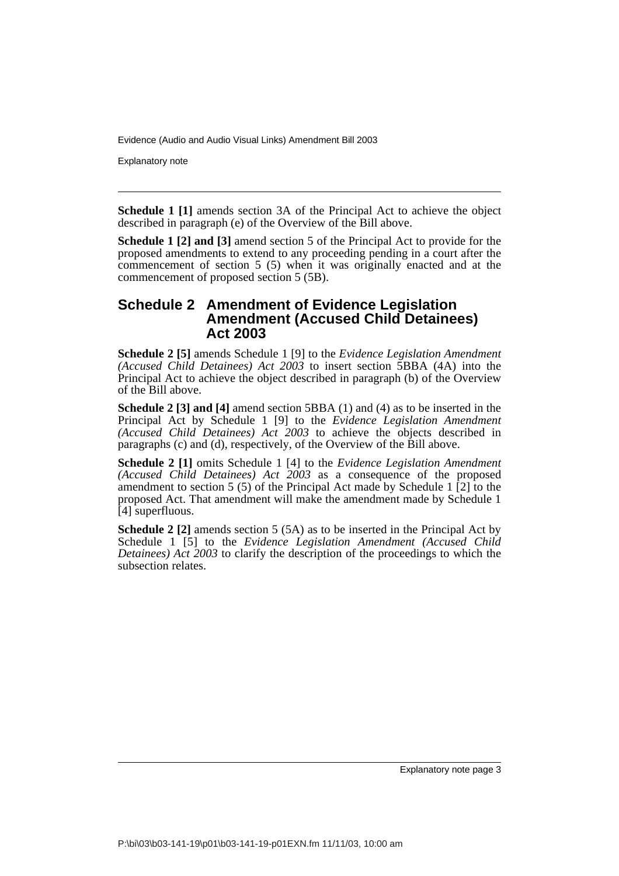Explanatory note

**Schedule 1 [1]** amends section 3A of the Principal Act to achieve the object described in paragraph (e) of the Overview of the Bill above.

**Schedule 1 [2] and [3]** amend section 5 of the Principal Act to provide for the proposed amendments to extend to any proceeding pending in a court after the commencement of section 5 (5) when it was originally enacted and at the commencement of proposed section 5 (5B).

#### **Schedule 2 Amendment of Evidence Legislation Amendment (Accused Child Detainees) Act 2003**

**Schedule 2 [5]** amends Schedule 1 [9] to the *Evidence Legislation Amendment (Accused Child Detainees) Act 2003* to insert section 5BBA (4A) into the Principal Act to achieve the object described in paragraph (b) of the Overview of the Bill above.

**Schedule 2 [3] and [4]** amend section 5BBA (1) and (4) as to be inserted in the Principal Act by Schedule 1 [9] to the *Evidence Legislation Amendment (Accused Child Detainees) Act 2003* to achieve the objects described in paragraphs (c) and (d), respectively, of the Overview of the Bill above.

**Schedule 2 [1]** omits Schedule 1 [4] to the *Evidence Legislation Amendment (Accused Child Detainees) Act 2003* as a consequence of the proposed amendment to section 5 (5) of the Principal Act made by Schedule 1  $\overline{2}$  to the proposed Act. That amendment will make the amendment made by Schedule 1 [4] superfluous.

**Schedule 2 [2]** amends section 5 (5A) as to be inserted in the Principal Act by Schedule 1 [5] to the *Evidence Legislation Amendment (Accused Child Detainees) Act 2003* to clarify the description of the proceedings to which the subsection relates.

Explanatory note page 3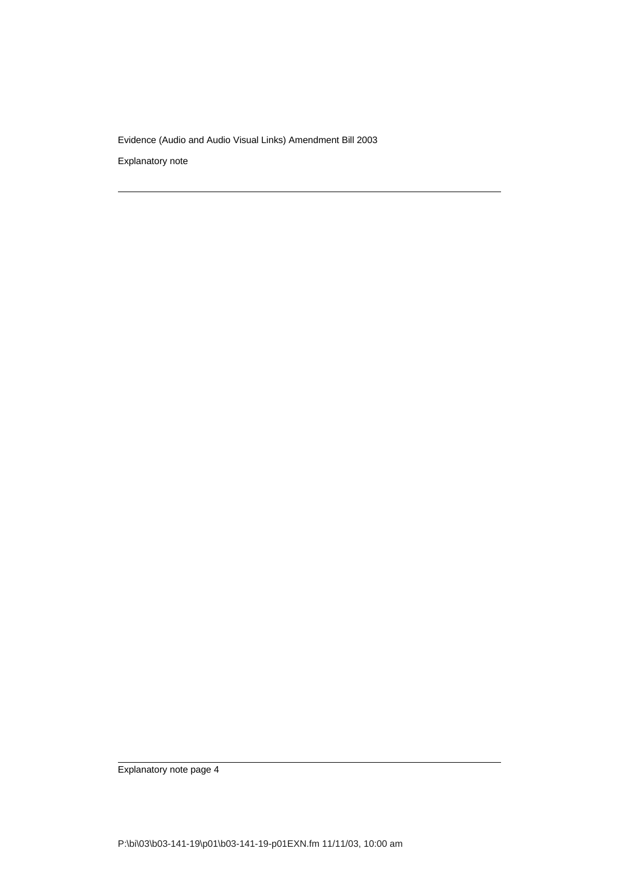Explanatory note

Explanatory note page 4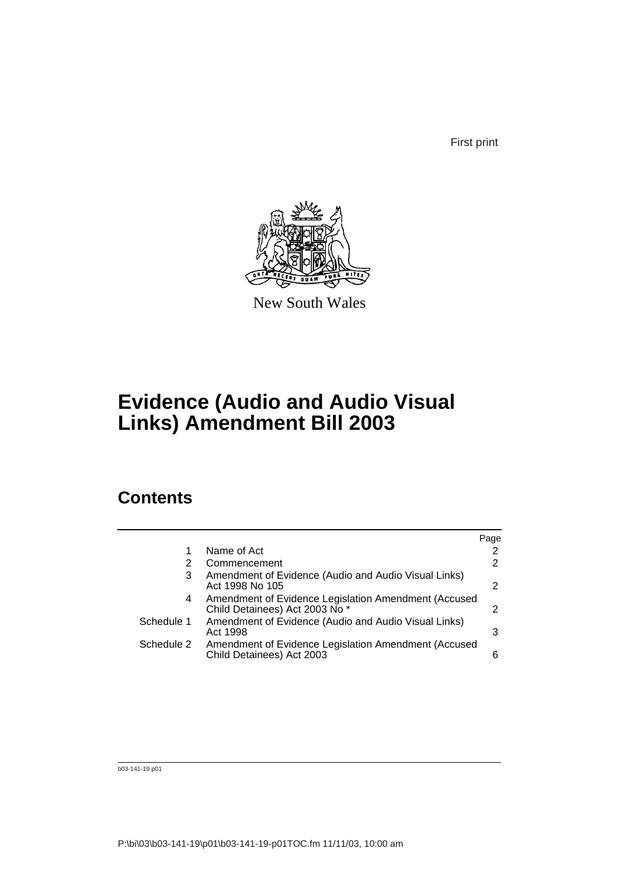First print



New South Wales

## **Evidence (Audio and Audio Visual Links) Amendment Bill 2003**

### **Contents**

|            |                                                                                        | Page           |
|------------|----------------------------------------------------------------------------------------|----------------|
|            | Name of Act                                                                            | $\overline{2}$ |
| 2          | Commencement                                                                           | $\overline{2}$ |
| 3          | Amendment of Evidence (Audio and Audio Visual Links)<br>Act 1998 No 105                | 2              |
| 4          | Amendment of Evidence Legislation Amendment (Accused<br>Child Detainees) Act 2003 No * | $\mathcal{P}$  |
| Schedule 1 | Amendment of Evidence (Audio and Audio Visual Links)<br>Act 1998                       | 3              |
| Schedule 2 | Amendment of Evidence Legislation Amendment (Accused<br>Child Detainees) Act 2003      | 6              |

b03-141-19.p01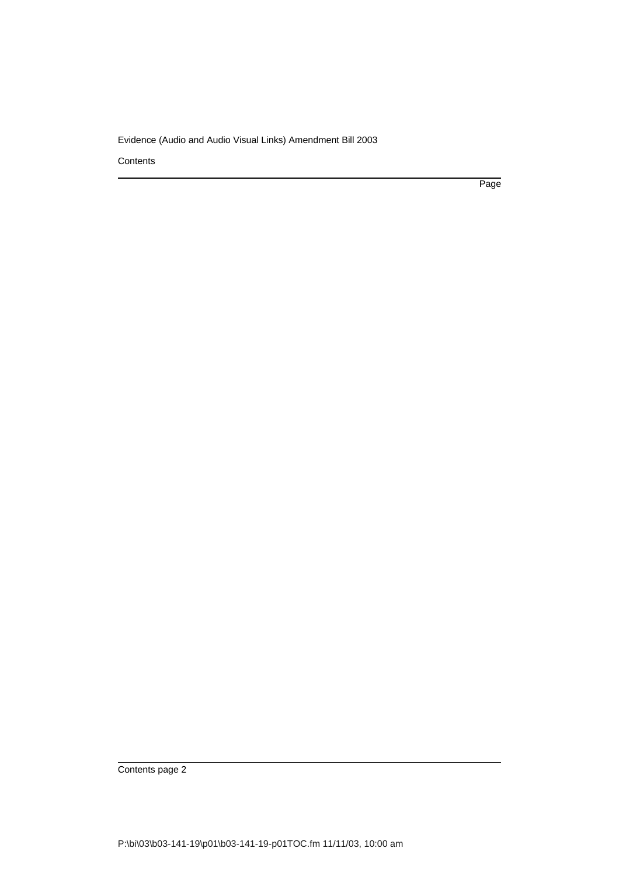**Contents** 

Page

Contents page 2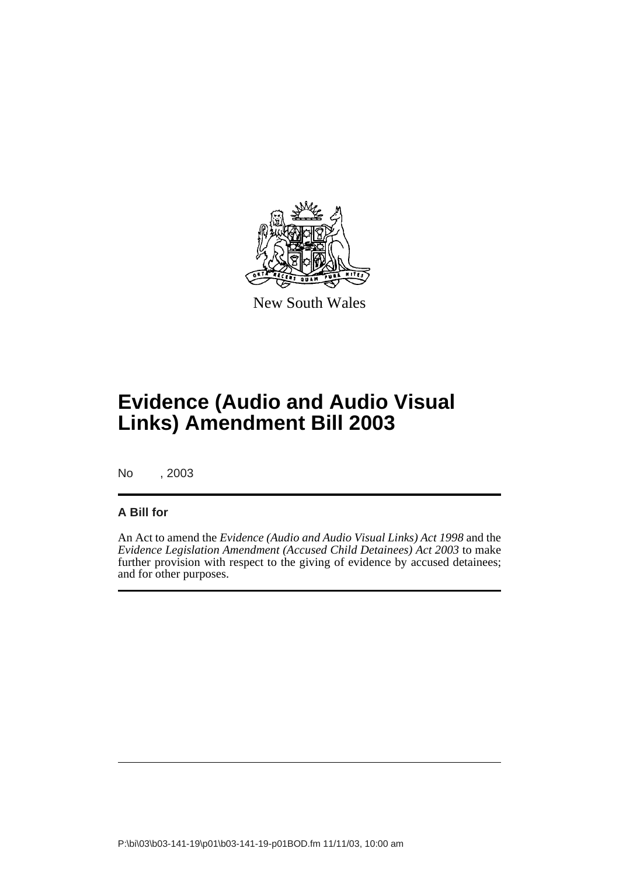

New South Wales

## **Evidence (Audio and Audio Visual Links) Amendment Bill 2003**

No , 2003

#### **A Bill for**

An Act to amend the *Evidence (Audio and Audio Visual Links) Act 1998* and the *Evidence Legislation Amendment (Accused Child Detainees) Act 2003* to make further provision with respect to the giving of evidence by accused detainees; and for other purposes.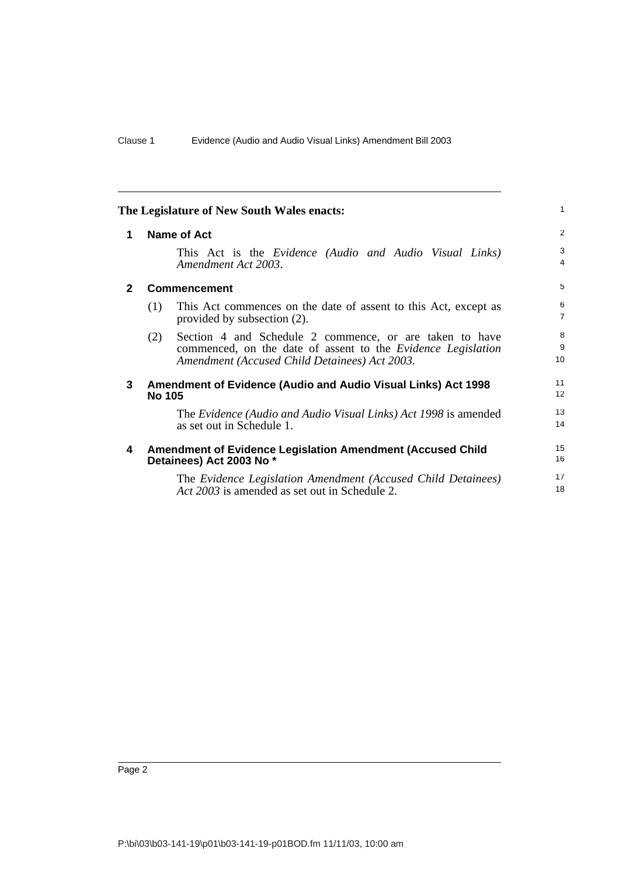<span id="page-7-3"></span><span id="page-7-2"></span><span id="page-7-1"></span><span id="page-7-0"></span>

| The Legislature of New South Wales enacts: |                                                                                                                                                                                 |                     |  |
|--------------------------------------------|---------------------------------------------------------------------------------------------------------------------------------------------------------------------------------|---------------------|--|
| 1                                          | Name of Act                                                                                                                                                                     |                     |  |
|                                            | This Act is the <i>Evidence (Audio and Audio Visual Links)</i><br>Amendment Act 2003.                                                                                           | 3<br>$\overline{4}$ |  |
| $\mathbf{2}$                               | <b>Commencement</b>                                                                                                                                                             | 5                   |  |
|                                            | (1)<br>This Act commences on the date of assent to this Act, except as<br>provided by subsection (2).                                                                           | 6<br>$\overline{7}$ |  |
|                                            | Section 4 and Schedule 2 commence, or are taken to have<br>(2)<br>commenced, on the date of assent to the Evidence Legislation<br>Amendment (Accused Child Detainees) Act 2003. | 8<br>9<br>10        |  |
| 3                                          | Amendment of Evidence (Audio and Audio Visual Links) Act 1998<br>No 105                                                                                                         | 11<br>12            |  |
|                                            | The Evidence (Audio and Audio Visual Links) Act 1998 is amended<br>as set out in Schedule 1.                                                                                    | 13<br>14            |  |
| 4                                          | Amendment of Evidence Legislation Amendment (Accused Child<br>Detainees) Act 2003 No *                                                                                          |                     |  |
|                                            | The Evidence Legislation Amendment (Accused Child Detainees)<br>Act 2003 is amended as set out in Schedule 2.                                                                   | 17<br>18            |  |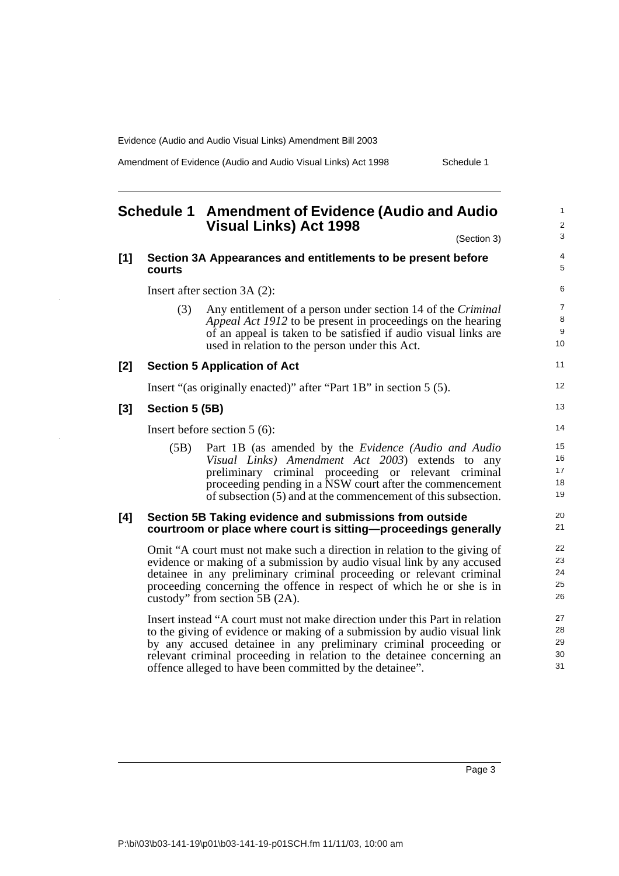$\ddot{\phantom{1}}$ 

 $\ddot{\phantom{a}}$ 

Amendment of Evidence (Audio and Audio Visual Links) Act 1998 Schedule 1

<span id="page-8-0"></span>

|     |                                                                        | Schedule 1 Amendment of Evidence (Audio and Audio<br><b>Visual Links) Act 1998</b>                                                                                                                                                                                                                                                                                 |                                |
|-----|------------------------------------------------------------------------|--------------------------------------------------------------------------------------------------------------------------------------------------------------------------------------------------------------------------------------------------------------------------------------------------------------------------------------------------------------------|--------------------------------|
|     |                                                                        | (Section 3)                                                                                                                                                                                                                                                                                                                                                        | 3                              |
| [1] | Section 3A Appearances and entitlements to be present before<br>courts |                                                                                                                                                                                                                                                                                                                                                                    | 4<br>5                         |
|     |                                                                        | Insert after section $3A(2)$ :                                                                                                                                                                                                                                                                                                                                     | 6                              |
|     | (3)                                                                    | Any entitlement of a person under section 14 of the <i>Criminal</i><br>Appeal Act 1912 to be present in proceedings on the hearing<br>of an appeal is taken to be satisfied if audio visual links are<br>used in relation to the person under this Act.                                                                                                            | $\overline{7}$<br>8<br>9<br>10 |
| [2] |                                                                        | <b>Section 5 Application of Act</b>                                                                                                                                                                                                                                                                                                                                | 11                             |
|     |                                                                        | Insert "(as originally enacted)" after "Part 1B" in section 5 (5).                                                                                                                                                                                                                                                                                                 | 12                             |
| [3] | Section 5 (5B)                                                         |                                                                                                                                                                                                                                                                                                                                                                    | 13                             |
|     | Insert before section $5(6)$ :                                         |                                                                                                                                                                                                                                                                                                                                                                    |                                |
|     | (5B)                                                                   | Part 1B (as amended by the <i>Evidence (Audio and Audio</i><br>Visual Links) Amendment Act 2003) extends to any<br>preliminary criminal proceeding or relevant criminal<br>proceeding pending in a NSW court after the commencement<br>of subsection (5) and at the commencement of this subsection.                                                               | 15<br>16<br>17<br>18<br>19     |
| [4] |                                                                        | Section 5B Taking evidence and submissions from outside<br>courtroom or place where court is sitting-proceedings generally                                                                                                                                                                                                                                         | 20<br>21                       |
|     |                                                                        | Omit "A court must not make such a direction in relation to the giving of<br>evidence or making of a submission by audio visual link by any accused<br>detainee in any preliminary criminal proceeding or relevant criminal<br>proceeding concerning the offence in respect of which he or she is in<br>custody" from section 5B (2A).                             | 22<br>23<br>24<br>25<br>26     |
|     |                                                                        | Insert instead "A court must not make direction under this Part in relation<br>to the giving of evidence or making of a submission by audio visual link<br>by any accused detainee in any preliminary criminal proceeding or<br>relevant criminal proceeding in relation to the detainee concerning an<br>offence alleged to have been committed by the detainee". | 27<br>28<br>29<br>30<br>31     |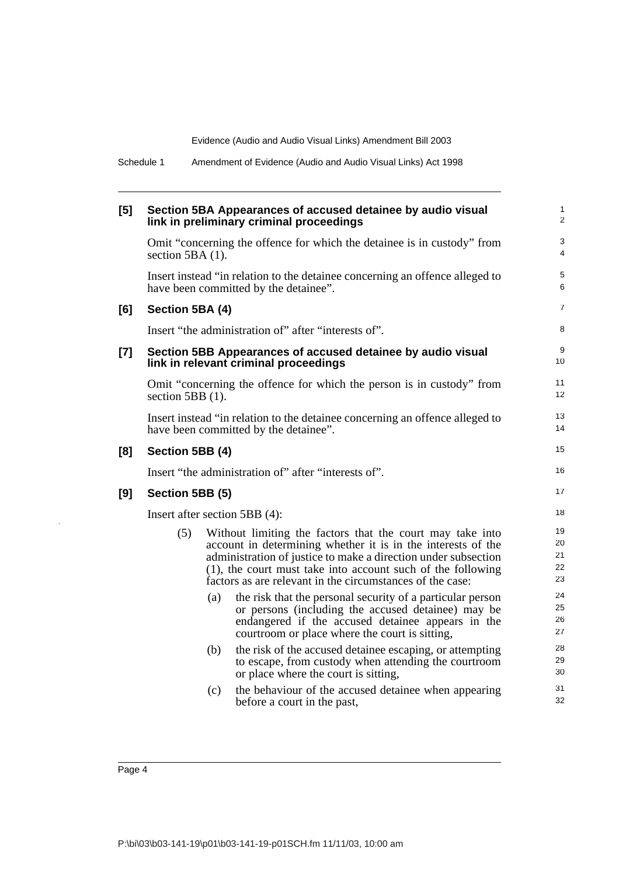Schedule 1 Amendment of Evidence (Audio and Audio Visual Links) Act 1998

| [5]   | Section 5BA Appearances of accused detainee by audio visual<br>link in preliminary criminal proceedings |     |                                                                                                                                                                                                                                                                                                                         |                            |
|-------|---------------------------------------------------------------------------------------------------------|-----|-------------------------------------------------------------------------------------------------------------------------------------------------------------------------------------------------------------------------------------------------------------------------------------------------------------------------|----------------------------|
|       | section $5BA(1)$ .                                                                                      |     | Omit "concerning the offence for which the detainee is in custody" from                                                                                                                                                                                                                                                 | 3<br>$\overline{4}$        |
|       |                                                                                                         |     | Insert instead "in relation to the detainee concerning an offence alleged to<br>have been committed by the detainee".                                                                                                                                                                                                   | 5<br>6                     |
| [6]   | Section 5BA (4)                                                                                         |     |                                                                                                                                                                                                                                                                                                                         |                            |
|       | Insert "the administration of" after "interests of".                                                    |     |                                                                                                                                                                                                                                                                                                                         | 8                          |
| $[7]$ | Section 5BB Appearances of accused detainee by audio visual<br>link in relevant criminal proceedings    |     |                                                                                                                                                                                                                                                                                                                         | 9<br>10                    |
|       | Omit "concerning the offence for which the person is in custody" from<br>section $5BB(1)$ .             |     |                                                                                                                                                                                                                                                                                                                         | 11<br>12                   |
|       |                                                                                                         |     | Insert instead "in relation to the detainee concerning an offence alleged to<br>have been committed by the detainee".                                                                                                                                                                                                   | 13<br>14                   |
| [8]   | Section 5BB (4)                                                                                         |     |                                                                                                                                                                                                                                                                                                                         | 15                         |
|       |                                                                                                         |     | Insert "the administration of" after "interests of".                                                                                                                                                                                                                                                                    | 16                         |
| [9]   | Section 5BB (5)                                                                                         |     |                                                                                                                                                                                                                                                                                                                         | 17                         |
|       | Insert after section 5BB (4):                                                                           |     |                                                                                                                                                                                                                                                                                                                         | 18                         |
|       | (5)                                                                                                     |     | Without limiting the factors that the court may take into<br>account in determining whether it is in the interests of the<br>administration of justice to make a direction under subsection<br>(1), the court must take into account such of the following<br>factors as are relevant in the circumstances of the case: | 19<br>20<br>21<br>22<br>23 |
|       |                                                                                                         | (a) | the risk that the personal security of a particular person<br>or persons (including the accused detainee) may be<br>endangered if the accused detainee appears in the<br>courtroom or place where the court is sitting,                                                                                                 | 24<br>25<br>26<br>27       |
|       |                                                                                                         | (b) | the risk of the accused detainee escaping, or attempting<br>to escape, from custody when attending the courtroom<br>or place where the court is sitting,                                                                                                                                                                | 28<br>29<br>30             |
|       |                                                                                                         | (c) | the behaviour of the accused detainee when appearing<br>before a court in the past,                                                                                                                                                                                                                                     | 31<br>32                   |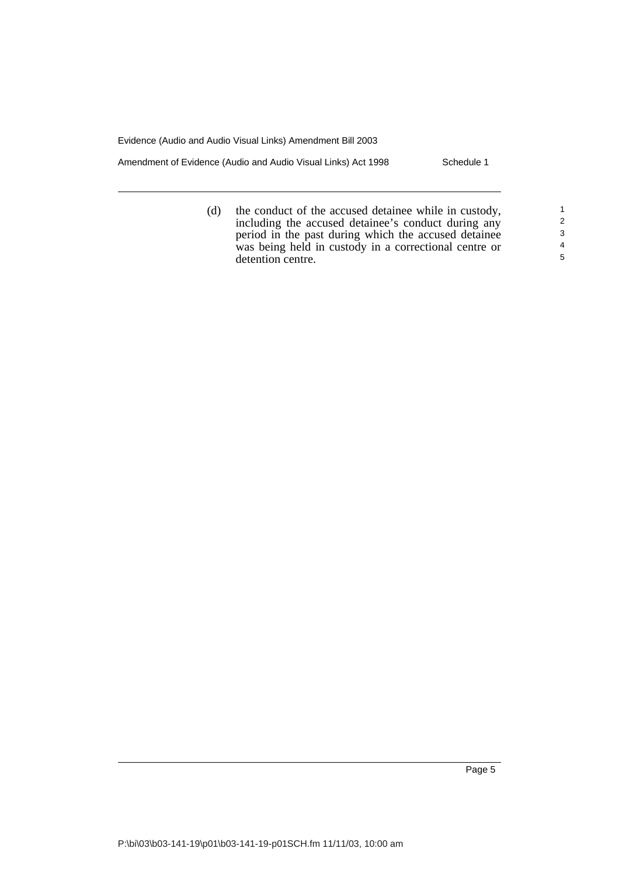Amendment of Evidence (Audio and Audio Visual Links) Act 1998 Schedule 1

(d) the conduct of the accused detainee while in custody, including the accused detainee's conduct during any period in the past during which the accused detainee was being held in custody in a correctional centre or detention centre.